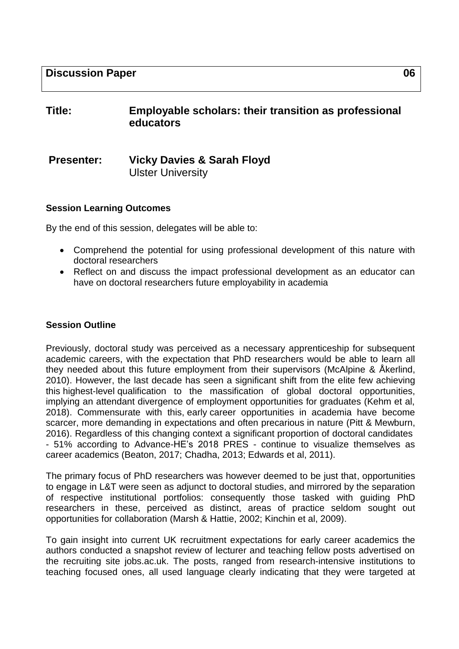# **Title: Employable scholars: their transition as professional educators**

# **Presenter: Vicky Davies & Sarah Floyd** Ulster University

#### **Session Learning Outcomes**

By the end of this session, delegates will be able to:

- Comprehend the potential for using professional development of this nature with doctoral researchers
- Reflect on and discuss the impact professional development as an educator can have on doctoral researchers future employability in academia

#### **Session Outline**

Previously, doctoral study was perceived as a necessary apprenticeship for subsequent academic careers, with the expectation that PhD researchers would be able to learn all they needed about this future employment from their supervisors (McAlpine & Åkerlind, 2010). However, the last decade has seen a significant shift from the elite few achieving this highest-level qualification to the massification of global doctoral opportunities, implying an attendant divergence of employment opportunities for graduates (Kehm et al, 2018). Commensurate with this, early career opportunities in academia have become scarcer, more demanding in expectations and often precarious in nature (Pitt & Mewburn, 2016). Regardless of this changing context a significant proportion of doctoral candidates - 51% according to Advance-HE's 2018 PRES - continue to visualize themselves as career academics (Beaton, 2017; Chadha, 2013; Edwards et al, 2011).

The primary focus of PhD researchers was however deemed to be just that, opportunities to engage in L&T were seen as adjunct to doctoral studies, and mirrored by the separation of respective institutional portfolios: consequently those tasked with guiding PhD researchers in these, perceived as distinct, areas of practice seldom sought out opportunities for collaboration (Marsh & Hattie, 2002; Kinchin et al, 2009).

To gain insight into current UK recruitment expectations for early career academics the authors conducted a snapshot review of lecturer and teaching fellow posts advertised on the recruiting site jobs.ac.uk. The posts, ranged from research-intensive institutions to teaching focused ones, all used language clearly indicating that they were targeted at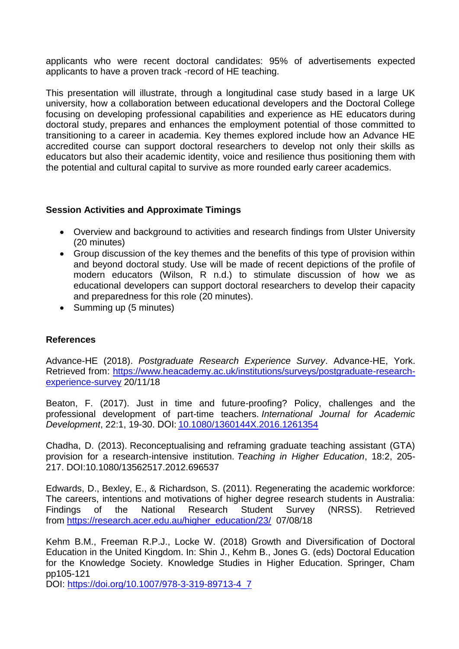applicants who were recent doctoral candidates: 95% of advertisements expected applicants to have a proven track -record of HE teaching.

This presentation will illustrate, through a longitudinal case study based in a large UK university, how a collaboration between educational developers and the Doctoral College focusing on developing professional capabilities and experience as HE educators during doctoral study, prepares and enhances the employment potential of those committed to transitioning to a career in academia. Key themes explored include how an Advance HE accredited course can support doctoral researchers to develop not only their skills as educators but also their academic identity, voice and resilience thus positioning them with the potential and cultural capital to survive as more rounded early career academics.

### **Session Activities and Approximate Timings**

- Overview and background to activities and research findings from Ulster University (20 minutes)
- Group discussion of the key themes and the benefits of this type of provision within and beyond doctoral study. Use will be made of recent depictions of the profile of modern educators (Wilson, R n.d.) to stimulate discussion of how we as educational developers can support doctoral researchers to develop their capacity and preparedness for this role (20 minutes).
- Summing up (5 minutes)

## **References**

Advance-HE (2018). *Postgraduate Research Experience Survey*. Advance-HE, York. Retrieved from: [https://www.heacademy.ac.uk/institutions/surveys/postgraduate-research](https://www.heacademy.ac.uk/institutions/surveys/postgraduate-research-experience-survey)[experience-survey](https://www.heacademy.ac.uk/institutions/surveys/postgraduate-research-experience-survey) 20/11/18

Beaton, F. (2017). Just in time and future-proofing? Policy, challenges and the professional development of part-time teachers. *International Journal for Academic Development*, 22:1, 19-30. DOI[: 10.1080/1360144X.2016.1261354](https://doi.org/10.1080/1360144X.2016.1261354)

Chadha, D. (2013). Reconceptualising and reframing graduate teaching assistant (GTA) provision for a research-intensive institution. *Teaching in Higher Education*, 18:2, 205- 217. DOI:10.1080/13562517.2012.696537

Edwards, D., Bexley, E., & Richardson, S. (2011). Regenerating the academic workforce: The careers, intentions and motivations of higher degree research students in Australia: Findings of the National Research Student Survey (NRSS). Retrieved from [https://research.acer.edu.au/higher\\_education/23/](https://research.acer.edu.au/higher_education/23/) 07/08/18

Kehm B.M., Freeman R.P.J., Locke W. (2018) Growth and Diversification of Doctoral Education in the United Kingdom. In: Shin J., Kehm B., Jones G. (eds) Doctoral Education for the Knowledge Society. Knowledge Studies in Higher Education. Springer, Cham pp105-121

DOI: [https://doi.org/10.1007/978-3-319-89713-4\\_7](https://doi.org/10.1007/978-3-319-89713-4_7)